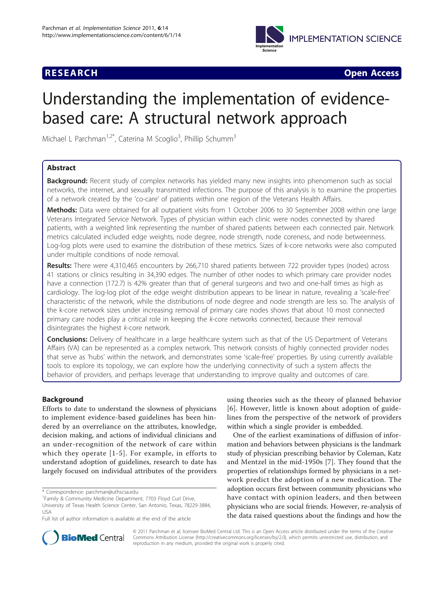

**RESEARCH CONSTRUCTION CONSTRUCTS** 

# Understanding the implementation of evidencebased care: A structural network approach

Michael L Parchman<sup>1,2\*</sup>, Caterina M Scoglio<sup>3</sup>, Phillip Schumm<sup>3</sup>

# Abstract

**Background:** Recent study of complex networks has yielded many new insights into phenomenon such as social networks, the internet, and sexually transmitted infections. The purpose of this analysis is to examine the properties of a network created by the 'co-care' of patients within one region of the Veterans Health Affairs.

Methods: Data were obtained for all outpatient visits from 1 October 2006 to 30 September 2008 within one large Veterans Integrated Service Network. Types of physician within each clinic were nodes connected by shared patients, with a weighted link representing the number of shared patients between each connected pair. Network metrics calculated included edge weights, node degree, node strength, node coreness, and node betweenness. Log-log plots were used to examine the distribution of these metrics. Sizes of k-core networks were also computed under multiple conditions of node removal.

Results: There were 4,310,465 encounters by 266,710 shared patients between 722 provider types (nodes) across 41 stations or clinics resulting in 34,390 edges. The number of other nodes to which primary care provider nodes have a connection (172.7) is 42% greater than that of general surgeons and two and one-half times as high as cardiology. The log-log plot of the edge weight distribution appears to be linear in nature, revealing a 'scale-free' characteristic of the network, while the distributions of node degree and node strength are less so. The analysis of the k-core network sizes under increasing removal of primary care nodes shows that about 10 most connected primary care nodes play a critical role in keeping the k-core networks connected, because their removal disintegrates the highest k-core network.

Conclusions: Delivery of healthcare in a large healthcare system such as that of the US Department of Veterans Affairs (VA) can be represented as a complex network. This network consists of highly connected provider nodes that serve as 'hubs' within the network, and demonstrates some 'scale-free' properties. By using currently available tools to explore its topology, we can explore how the underlying connectivity of such a system affects the behavior of providers, and perhaps leverage that understanding to improve quality and outcomes of care.

# Background

Efforts to date to understand the slowness of physicians to implement evidence-based guidelines has been hindered by an overreliance on the attributes, knowledge, decision making, and actions of individual clinicians and an under-recognition of the network of care within which they operate [[1-5\]](#page-9-0). For example, in efforts to understand adoption of guidelines, research to date has largely focused on individual attributes of the providers

using theories such as the theory of planned behavior [[6](#page-9-0)]. However, little is known about adoption of guidelines from the perspective of the network of providers within which a single provider is embedded.

One of the earliest examinations of diffusion of information and behaviors between physicians is the landmark study of physician prescribing behavior by Coleman, Katz and Mentzel in the mid-1950s [[7\]](#page-9-0). They found that the properties of relationships formed by physicians in a network predict the adoption of a new medication. The adoption occurs first between community physicians who have contact with opinion leaders, and then between physicians who are social friends. However, re-analysis of the data raised questions about the findings and how the



© 2011 Parchman et al; licensee BioMed Central Ltd. This is an Open Access article distributed under the terms of the Creative Commons Attribution License [\(http://creativecommons.org/licenses/by/2.0](http://creativecommons.org/licenses/by/2.0)), which permits unrestricted use, distribution, and reproduction in any medium, provided the original work is properly cited.

<sup>\*</sup> Correspondence: [parchman@uthscsa.edu](mailto:parchman@uthscsa.edu)

<sup>&</sup>lt;sup>1</sup> Family & Community Medicine Department, 7703 Floyd Curl Drive, University of Texas Health Science Center, San Antonio, Texas, 78229-3884, USA

Full list of author information is available at the end of the article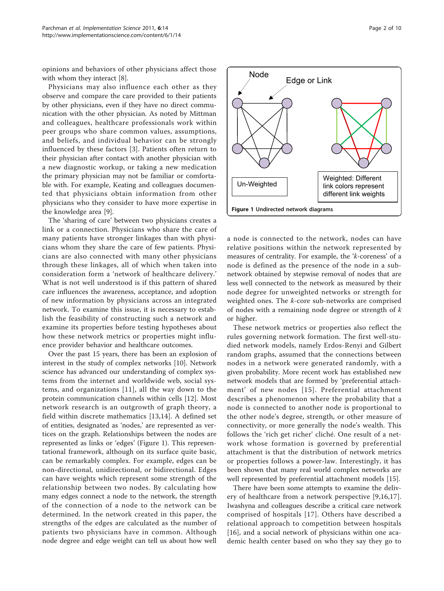opinions and behaviors of other physicians affect those with whom they interact [\[8\]](#page-9-0).

Physicians may also influence each other as they observe and compare the care provided to their patients by other physicians, even if they have no direct communication with the other physician. As noted by Mittman and colleagues, healthcare professionals work within peer groups who share common values, assumptions, and beliefs, and individual behavior can be strongly influenced by these factors [[3\]](#page-9-0). Patients often return to their physician after contact with another physician with a new diagnostic workup, or taking a new medication the primary physician may not be familiar or comfortable with. For example, Keating and colleagues documented that physicians obtain information from other physicians who they consider to have more expertise in the knowledge area [[9](#page-9-0)].

The 'sharing of care' between two physicians creates a link or a connection. Physicians who share the care of many patients have stronger linkages than with physicians whom they share the care of few patients. Physicians are also connected with many other physicians through these linkages, all of which when taken into consideration form a 'network of healthcare delivery.' What is not well understood is if this pattern of shared care influences the awareness, acceptance, and adoption of new information by physicians across an integrated network. To examine this issue, it is necessary to establish the feasibility of constructing such a network and examine its properties before testing hypotheses about how these network metrics or properties might influence provider behavior and healthcare outcomes.

Over the past 15 years, there has been an explosion of interest in the study of complex networks [[10](#page-9-0)]. Network science has advanced our understanding of complex systems from the internet and worldwide web, social systems, and organizations [[11\]](#page-9-0), all the way down to the protein communication channels within cells [[12\]](#page-9-0). Most network research is an outgrowth of graph theory, a field within discrete mathematics [\[13](#page-9-0),[14\]](#page-9-0). A defined set of entities, designated as 'nodes,' are represented as vertices on the graph. Relationships between the nodes are represented as links or 'edges' (Figure 1). This representational framework, although on its surface quite basic, can be remarkably complex. For example, edges can be non-directional, unidirectional, or bidirectional. Edges can have weights which represent some strength of the relationship between two nodes. By calculating how many edges connect a node to the network, the strength of the connection of a node to the network can be determined. In the network created in this paper, the strengths of the edges are calculated as the number of patients two physicians have in common. Although node degree and edge weight can tell us about how well a node is connected to the network, nodes can have relative positions within the network represented by measures of centrality. For example, the 'k-coreness' of a node is defined as the presence of the node in a subnetwork obtained by stepwise removal of nodes that are less well connected to the network as measured by their node degree for unweighted networks or strength for weighted ones. The k-core sub-networks are comprised of nodes with a remaining node degree or strength of  $k$ Weighted: Different link colors represent different link weights Un-Weighted Figure 1 Undirected network diagrams.

or higher.

These network metrics or properties also reflect the rules governing network formation. The first well-studied network models, namely Erdos-Renyi and Gilbert random graphs, assumed that the connections between nodes in a network were generated randomly, with a given probability. More recent work has established new network models that are formed by 'preferential attachment' of new nodes [[15\]](#page-9-0). Preferential attachment describes a phenomenon where the probability that a node is connected to another node is proportional to the other node's degree, strength, or other measure of connectivity, or more generally the node's wealth. This follows the 'rich get richer' cliché. One result of a network whose formation is governed by preferential attachment is that the distribution of network metrics or properties follows a power-law. Interestingly, it has been shown that many real world complex networks are well represented by preferential attachment models [[15\]](#page-9-0).

There have been some attempts to examine the delivery of healthcare from a network perspective [\[9](#page-9-0),[16,17](#page-9-0)]. Iwashyna and colleagues describe a critical care network comprised of hospitals [[17](#page-9-0)]. Others have described a relational approach to competition between hospitals [[16\]](#page-9-0), and a social network of physicians within one academic health center based on who they say they go to

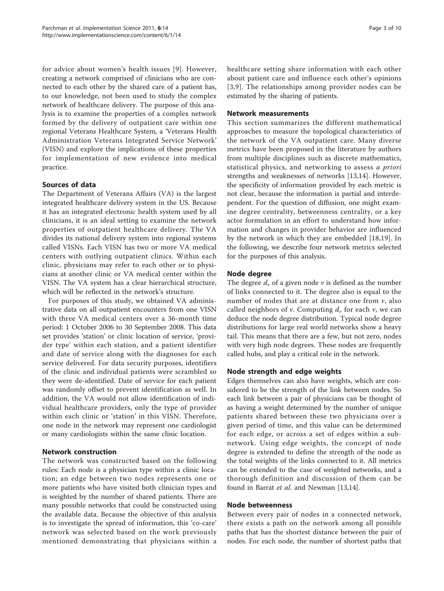for advice about women's health issues [\[9\]](#page-9-0). However, creating a network comprised of clinicians who are connected to each other by the shared care of a patient has, to our knowledge, not been used to study the complex network of healthcare delivery. The purpose of this analysis is to examine the properties of a complex network formed by the delivery of outpatient care within one regional Veterans Healthcare System, a 'Veterans Health Administration Veterans Integrated Service Network' (VISN) and explore the implications of these properties for implementation of new evidence into medical practice.

### Sources of data

The Department of Veterans Affairs (VA) is the largest integrated healthcare delivery system in the US. Because it has an integrated electronic health system used by all clinicians, it is an ideal setting to examine the network properties of outpatient healthcare delivery. The VA divides its national delivery system into regional systems called VISNs. Each VISN has two or more VA medical centers with outlying outpatient clinics. Within each clinic, physicians may refer to each other or to physicians at another clinic or VA medical center within the VISN. The VA system has a clear hierarchical structure, which will be reflected in the network's structure.

For purposes of this study, we obtained VA administrative data on all outpatient encounters from one VISN with three VA medical centers over a 36-month time period: 1 October 2006 to 30 September 2008. This data set provides 'station' or clinic location of service, 'provider type' within each station, and a patient identifier and date of service along with the diagnoses for each service delivered. For data security purposes, identifiers of the clinic and individual patients were scrambled so they were de-identified. Date of service for each patient was randomly offset to prevent identification as well. In addition, the VA would not allow identification of individual healthcare providers, only the type of provider within each clinic or 'station' in this VISN. Therefore, one node in the network may represent one cardiologist or many cardiologists within the same clinic location.

# Network construction

The network was constructed based on the following rules: Each node is a physician type within a clinic location; an edge between two nodes represents one or more patients who have visited both clinician types and is weighted by the number of shared patients. There are many possible networks that could be constructed using the available data. Because the objective of this analysis is to investigate the spread of information, this 'co-care' network was selected based on the work previously mentioned demonstrating that physicians within a healthcare setting share information with each other about patient care and influence each other's opinions [[3](#page-9-0),[9\]](#page-9-0). The relationships among provider nodes can be estimated by the sharing of patients.

## Network measurements

This section summarizes the different mathematical approaches to measure the topological characteristics of the network of the VA outpatient care. Many diverse metrics have been proposed in the literature by authors from multiple disciplines such as discrete mathematics, statistical physics, and networking to assess a priori strengths and weaknesses of networks [\[13,14](#page-9-0)]. However, the specificity of information provided by each metric is not clear, because the information is partial and interdependent. For the question of diffusion, one might examine degree centrality, betweenness centrality, or a key actor formulation in an effort to understand how information and changes in provider behavior are influenced by the network in which they are embedded [[18,19\]](#page-9-0). In the following, we describe four network metrics selected for the purposes of this analysis.

# Node degree

The degree  $d_{\nu}$  of a given node  $\nu$  is defined as the number of links connected to it. The degree also is equal to the number of nodes that are at distance one from  $\nu$ , also called neighbors of v. Computing  $d_v$  for each v, we can deduce the node degree distribution. Typical node degree distributions for large real world networks show a heavy tail. This means that there are a few, but not zero, nodes with very high node degrees. These nodes are frequently called hubs, and play a critical role in the network.

# Node strength and edge weights

Edges themselves can also have weights, which are considered to be the strength of the link between nodes. So each link between a pair of physicians can be thought of as having a weight determined by the number of unique patients shared between these two physicians over a given period of time, and this value can be determined for each edge, or across a set of edges within a subnetwork. Using edge weights, the concept of node degree is extended to define the strength of the node as the total weights of the links connected to it. All metrics can be extended to the case of weighted networks, and a thorough definition and discussion of them can be found in Barrat et al. and Newman [\[13,14\]](#page-9-0).

### Node betweenness

Between every pair of nodes in a connected network, there exists a path on the network among all possible paths that has the shortest distance between the pair of nodes. For each node, the number of shortest paths that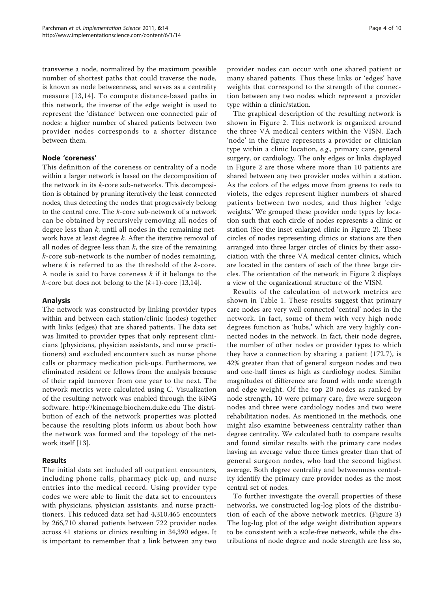transverse a node, normalized by the maximum possible number of shortest paths that could traverse the node, is known as node betweenness, and serves as a centrality measure [[13,14\]](#page-9-0). To compute distance-based paths in this network, the inverse of the edge weight is used to represent the 'distance' between one connected pair of nodes: a higher number of shared patients between two provider nodes corresponds to a shorter distance between them.

## Node 'coreness'

This definition of the coreness or centrality of a node within a larger network is based on the decomposition of the network in its k-core sub-networks. This decomposition is obtained by pruning iteratively the least connected nodes, thus detecting the nodes that progressively belong to the central core. The k-core sub-network of a network can be obtained by recursively removing all nodes of degree less than  $k$ , until all nodes in the remaining network have at least degree k. After the iterative removal of all nodes of degree less than  $k$ , the size of the remaining k-core sub-network is the number of nodes remaining, where  $k$  is referred to as the threshold of the  $k$ -core. A node is said to have coreness  $k$  if it belongs to the *k*-core but does not belong to the  $(k+1)$ -core [\[13,14](#page-9-0)].

### Analysis

The network was constructed by linking provider types within and between each station/clinic (nodes) together with links (edges) that are shared patients. The data set was limited to provider types that only represent clinicians (physicians, physician assistants, and nurse practitioners) and excluded encounters such as nurse phone calls or pharmacy medication pick-ups. Furthermore, we eliminated resident or fellows from the analysis because of their rapid turnover from one year to the next. The network metrics were calculated using C. Visualization of the resulting network was enabled through the KiNG software.<http://kinemage.biochem.duke.edu> The distribution of each of the network properties was plotted because the resulting plots inform us about both how the network was formed and the topology of the network itself [[13\]](#page-9-0).

### Results

The initial data set included all outpatient encounters, including phone calls, pharmacy pick-up, and nurse entries into the medical record. Using provider type codes we were able to limit the data set to encounters with physicians, physician assistants, and nurse practitioners. This reduced data set had 4,310,465 encounters by 266,710 shared patients between 722 provider nodes across 41 stations or clinics resulting in 34,390 edges. It is important to remember that a link between any two provider nodes can occur with one shared patient or many shared patients. Thus these links or 'edges' have weights that correspond to the strength of the connection between any two nodes which represent a provider type within a clinic/station.

The graphical description of the resulting network is shown in Figure [2](#page-4-0). This network is organized around the three VA medical centers within the VISN. Each 'node' in the figure represents a provider or clinician type within a clinic location, e.g., primary care, general surgery, or cardiology. The only edges or links displayed in Figure [2](#page-4-0) are those where more than 10 patients are shared between any two provider nodes within a station. As the colors of the edges move from greens to reds to violets, the edges represent higher numbers of shared patients between two nodes, and thus higher 'edge weights.' We grouped these provider node types by location such that each circle of nodes represents a clinic or station (See the inset enlarged clinic in Figure [2](#page-4-0)). These circles of nodes representing clinics or stations are then arranged into three larger circles of clinics by their association with the three VA medical center clinics, which are located in the centers of each of the three large circles. The orientation of the network in Figure [2](#page-4-0) displays a view of the organizational structure of the VISN.

Results of the calculation of network metrics are shown in Table [1](#page-5-0). These results suggest that primary care nodes are very well connected 'central' nodes in the network. In fact, some of them with very high node degrees function as 'hubs,' which are very highly connected nodes in the network. In fact, their node degree, the number of other nodes or provider types to which they have a connection by sharing a patient (172.7), is 42% greater than that of general surgeon nodes and two and one-half times as high as cardiology nodes. Similar magnitudes of difference are found with node strength and edge weight. Of the top 20 nodes as ranked by node strength, 10 were primary care, five were surgeon nodes and three were cardiology nodes and two were rehabilitation nodes. As mentioned in the methods, one might also examine betweeness centrality rather than degree centrality. We calculated both to compare results and found similar results with the primary care nodes having an average value three times greater than that of general surgeon nodes, who had the second highest average. Both degree centrality and betweenness centrality identify the primary care provider nodes as the most central set of nodes.

To further investigate the overall properties of these networks, we constructed log-log plots of the distribution of each of the above network metrics. (Figure [3](#page-6-0)) The log-log plot of the edge weight distribution appears to be consistent with a scale-free network, while the distributions of node degree and node strength are less so,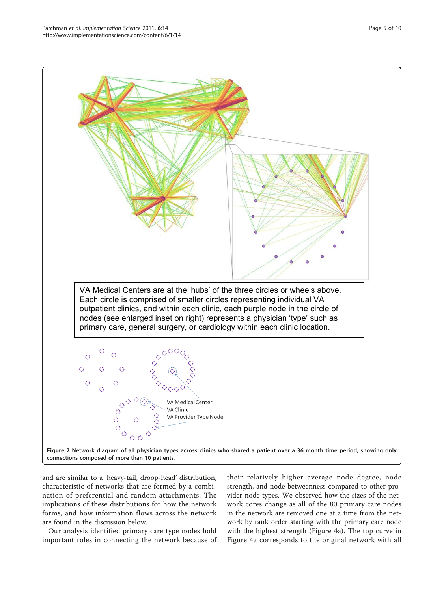<span id="page-4-0"></span>

and are similar to a 'heavy-tail, droop-head' distribution, characteristic of networks that are formed by a combination of preferential and random attachments. The implications of these distributions for how the network forms, and how information flows across the network are found in the discussion below.

Our analysis identified primary care type nodes hold important roles in connecting the network because of

their relatively higher average node degree, node strength, and node betweenness compared to other provider node types. We observed how the sizes of the network cores change as all of the 80 primary care nodes in the network are removed one at a time from the network by rank order starting with the primary care node with the highest strength (Figure [4a\)](#page-7-0). The top curve in Figure [4a](#page-7-0) corresponds to the original network with all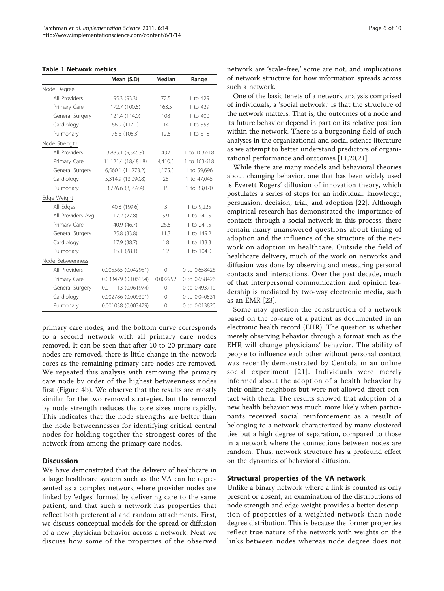<span id="page-5-0"></span>

|  | Table 1 Network metrics |  |
|--|-------------------------|--|
|--|-------------------------|--|

|                   | Mean (S.D)          | Median   | Range           |
|-------------------|---------------------|----------|-----------------|
| Node Degree       |                     |          |                 |
| All Providers     | 95.3 (93.3)         | 72.5     | 1 to 429        |
| Primary Care      | 172.7 (100.5)       | 163.5    | 1 to 429        |
| General Surgery   | 121.4 (114.0)       | 108      | $1$ to $400$    |
| Cardiology        | 66.9 (117.1)        | 14       | 1 to 353        |
| Pulmonary         | 75.6 (106.3)        | 12.5     | 1 to 318        |
| Node Strength     |                     |          |                 |
| All Providers     | 3,885.1 (9,345.9)   | 432      | 1 to 103,618    |
| Primary Care      | 11,121.4 (18,481.8) | 4,410.5  | 1 to 103,618    |
| General Surgery   | 6,560.1 (11,273.2)  | 1,175.5  | 1 to 59,696     |
| Cardiology        | 5,314.9 (13,090.8)  | 28       | 1 to 47,045     |
| Pulmonary         | 3,726.6 (8,559.4)   | 15       | 1 to 33,070     |
| Edge Weight       |                     |          |                 |
| All Edges         | 40.8 (199.6)        | 3        | 1 to 9,225      |
| All Providers Avg | 17.2 (27.8)         | 5.9      | 1 to 241.5      |
| Primary Care      | 40.9 (46.7)         | 26.5     | 1 to 241.5      |
| General Surgery   | 25.8 (33.8)         | 11.3     | 1 to 149.2      |
| Cardiology        | 17.9 (38.7)         | 1.8      | 1 to 133.3      |
| Pulmonary         | 15.1(28.1)          | 1.2      | 1 to 104.0      |
| Node Betweenness  |                     |          |                 |
| All Providers     | 0.005565 (0.042951) | 0        | $0$ to 0.658426 |
| Primary Care      | 0.033479 (0.106154) | 0.002952 | 0 to 0.658426   |
| General Surgery   | 0.011113 (0.061974) | $\Omega$ | 0 to 0.493710   |
| Cardiology        | 0.002786 (0.009301) | $\Omega$ | 0 to 0.040531   |
| Pulmonary         | 0.001038 (0.003479) | 0        | 0 to 0.013820   |

primary care nodes, and the bottom curve corresponds to a second network with all primary care nodes removed. It can be seen that after 10 to 20 primary care nodes are removed, there is little change in the network cores as the remaining primary care nodes are removed. We repeated this analysis with removing the primary care node by order of the highest betweenness nodes first (Figure [4b](#page-7-0)). We observe that the results are mostly similar for the two removal strategies, but the removal by node strength reduces the core sizes more rapidly. This indicates that the node strengths are better than the node betweennesses for identifying critical central nodes for holding together the strongest cores of the network from among the primary care nodes.

#### **Discussion**

We have demonstrated that the delivery of healthcare in a large healthcare system such as the VA can be represented as a complex network where provider nodes are linked by 'edges' formed by delivering care to the same patient, and that such a network has properties that reflect both preferential and random attachments. First, we discuss conceptual models for the spread or diffusion of a new physician behavior across a network. Next we discuss how some of the properties of the observed network are 'scale-free,' some are not, and implications of network structure for how information spreads across such a network.

One of the basic tenets of a network analysis comprised of individuals, a 'social network,' is that the structure of the network matters. That is, the outcomes of a node and its future behavior depend in part on its relative position within the network. There is a burgeoning field of such analyses in the organizational and social science literature as we attempt to better understand predictors of organizational performance and outcomes [\[11,20,21\]](#page-9-0).

While there are many models and behavioral theories about changing behavior, one that has been widely used is Everett Rogers' diffusion of innovation theory, which postulates a series of steps for an individual: knowledge, persuasion, decision, trial, and adoption [\[22](#page-9-0)]. Although empirical research has demonstrated the importance of contacts through a social network in this process, there remain many unanswered questions about timing of adoption and the influence of the structure of the network on adoption in healthcare. Outside the field of healthcare delivery, much of the work on networks and diffusion was done by observing and measuring personal contacts and interactions. Over the past decade, much of that interpersonal communication and opinion leadership is mediated by two-way electronic media, such as an EMR [\[23\]](#page-9-0).

Some may question the construction of a network based on the co-care of a patient as documented in an electronic health record (EHR). The question is whether merely observing behavior through a format such as the EHR will change physicians' behavior. The ability of people to influence each other without personal contact was recently demonstrated by Centola in an online social experiment [[21\]](#page-9-0). Individuals were merely informed about the adoption of a health behavior by their online neighbors but were not allowed direct contact with them. The results showed that adoption of a new health behavior was much more likely when participants received social reinforcement as a result of belonging to a network characterized by many clustered ties but a high degree of separation, compared to those in a network where the connections between nodes are random. Thus, network structure has a profound effect on the dynamics of behavioral diffusion.

#### Structural properties of the VA network

Unlike a binary network where a link is counted as only present or absent, an examination of the distributions of node strength and edge weight provides a better description of properties of a weighted network than node degree distribution. This is because the former properties reflect true nature of the network with weights on the links between nodes whereas node degree does not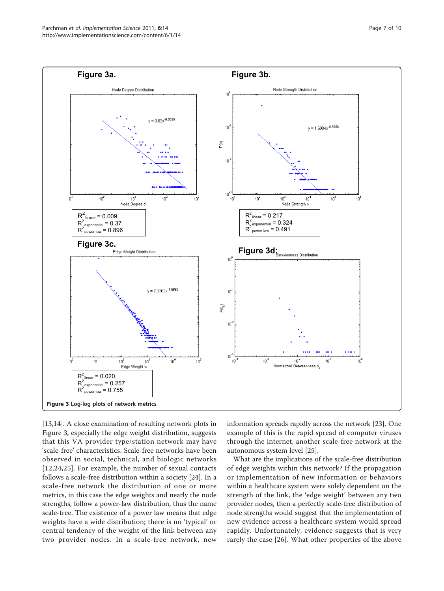<span id="page-6-0"></span>

[[13,14\]](#page-9-0). A close examination of resulting network plots in Figure 3, especially the edge weight distribution, suggests that this VA provider type/station network may have 'scale-free' characteristics. Scale-free networks have been observed in social, technical, and biologic networks [[12](#page-9-0),[24,25](#page-9-0)]. For example, the number of sexual contacts follows a scale-free distribution within a society [[24\]](#page-9-0). In a scale-free network the distribution of one or more metrics, in this case the edge weights and nearly the node strengths, follow a power-law distribution, thus the name scale-free. The existence of a power law means that edge weights have a wide distribution; there is no 'typical' or central tendency of the weight of the link between any two provider nodes. In a scale-free network, new

information spreads rapidly across the network [\[23\]](#page-9-0). One example of this is the rapid spread of computer viruses through the internet, another scale-free network at the autonomous system level [[25](#page-9-0)].

What are the implications of the scale-free distribution of edge weights within this network? If the propagation or implementation of new information or behaviors within a healthcare system were solely dependent on the strength of the link, the 'edge weight' between any two provider nodes, then a perfectly scale-free distribution of node strengths would suggest that the implementation of new evidence across a healthcare system would spread rapidly. Unfortunately, evidence suggests that is very rarely the case [[26\]](#page-9-0). What other properties of the above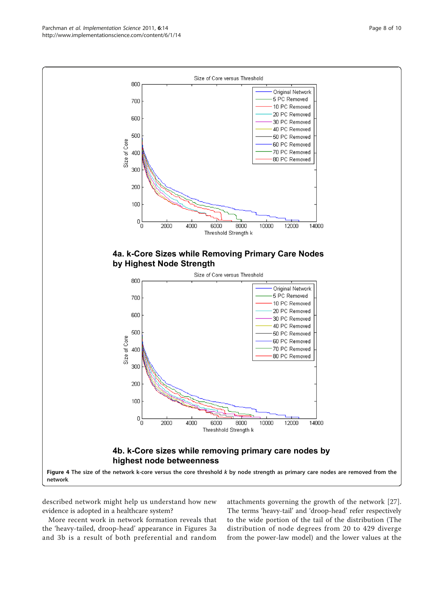described network might help us understand how new evidence is adopted in a healthcare system?

More recent work in network formation reveals that the 'heavy-tailed, droop-head' appearance in Figures [3a](#page-6-0) and [3b](#page-6-0) is a result of both preferential and random attachments governing the growth of the network [[27](#page-9-0)]. The terms 'heavy-tail' and 'droop-head' refer respectively to the wide portion of the tail of the distribution (The distribution of node degrees from 20 to 429 diverge from the power-law model) and the lower values at the

<span id="page-7-0"></span>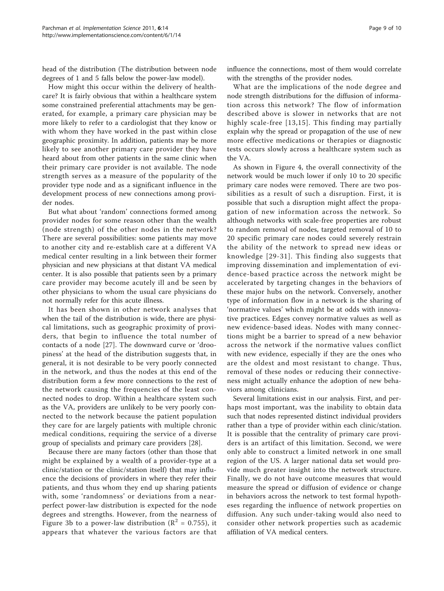head of the distribution (The distribution between node degrees of 1 and 5 falls below the power-law model).

How might this occur within the delivery of healthcare? It is fairly obvious that within a healthcare system some constrained preferential attachments may be generated, for example, a primary care physician may be more likely to refer to a cardiologist that they know or with whom they have worked in the past within close geographic proximity. In addition, patients may be more likely to see another primary care provider they have heard about from other patients in the same clinic when their primary care provider is not available. The node strength serves as a measure of the popularity of the provider type node and as a significant influence in the development process of new connections among provider nodes.

But what about 'random' connections formed among provider nodes for some reason other than the wealth (node strength) of the other nodes in the network? There are several possibilities: some patients may move to another city and re-establish care at a different VA medical center resulting in a link between their former physician and new physicians at that distant VA medical center. It is also possible that patients seen by a primary care provider may become acutely ill and be seen by other physicians to whom the usual care physicians do not normally refer for this acute illness.

It has been shown in other network analyses that when the tail of the distribution is wide, there are physical limitations, such as geographic proximity of providers, that begin to influence the total number of contacts of a node [\[27](#page-9-0)]. The downward curve or 'droopiness' at the head of the distribution suggests that, in general, it is not desirable to be very poorly connected in the network, and thus the nodes at this end of the distribution form a few more connections to the rest of the network causing the frequencies of the least connected nodes to drop. Within a healthcare system such as the VA, providers are unlikely to be very poorly connected to the network because the patient population they care for are largely patients with multiple chronic medical conditions, requiring the service of a diverse group of specialists and primary care providers [\[28](#page-9-0)].

Because there are many factors (other than those that might be explained by a wealth of a provider-type at a clinic/station or the clinic/station itself) that may influence the decisions of providers in where they refer their patients, and thus whom they end up sharing patients with, some 'randomness' or deviations from a nearperfect power-law distribution is expected for the node degrees and strengths. However, from the nearness of Figure [3b](#page-6-0) to a power-law distribution ( $\mathbb{R}^2$  = 0.755), it appears that whatever the various factors are that influence the connections, most of them would correlate with the strengths of the provider nodes.

What are the implications of the node degree and node strength distributions for the diffusion of information across this network? The flow of information described above is slower in networks that are not highly scale-free [[13](#page-9-0),[15\]](#page-9-0). This finding may partially explain why the spread or propagation of the use of new more effective medications or therapies or diagnostic tests occurs slowly across a healthcare system such as the VA.

As shown in Figure [4,](#page-7-0) the overall connectivity of the network would be much lower if only 10 to 20 specific primary care nodes were removed. There are two possibilities as a result of such a disruption. First, it is possible that such a disruption might affect the propagation of new information across the network. So although networks with scale-free properties are robust to random removal of nodes, targeted removal of 10 to 20 specific primary care nodes could severely restrain the ability of the network to spread new ideas or knowledge [[29-31](#page-9-0)]. This finding also suggests that improving dissemination and implementation of evidence-based practice across the network might be accelerated by targeting changes in the behaviors of these major hubs on the network. Conversely, another type of information flow in a network is the sharing of 'normative values' which might be at odds with innovative practices. Edges convey normative values as well as new evidence-based ideas. Nodes with many connections might be a barrier to spread of a new behavior across the network if the normative values conflict with new evidence, especially if they are the ones who are the oldest and most resistant to change. Thus, removal of these nodes or reducing their connectiveness might actually enhance the adoption of new behaviors among clinicians.

Several limitations exist in our analysis. First, and perhaps most important, was the inability to obtain data such that nodes represented distinct individual providers rather than a type of provider within each clinic/station. It is possible that the centrality of primary care providers is an artifact of this limitation. Second, we were only able to construct a limited network in one small region of the US. A larger national data set would provide much greater insight into the network structure. Finally, we do not have outcome measures that would measure the spread or diffusion of evidence or change in behaviors across the network to test formal hypotheses regarding the influence of network properties on diffusion. Any such under-taking would also need to consider other network properties such as academic affiliation of VA medical centers.